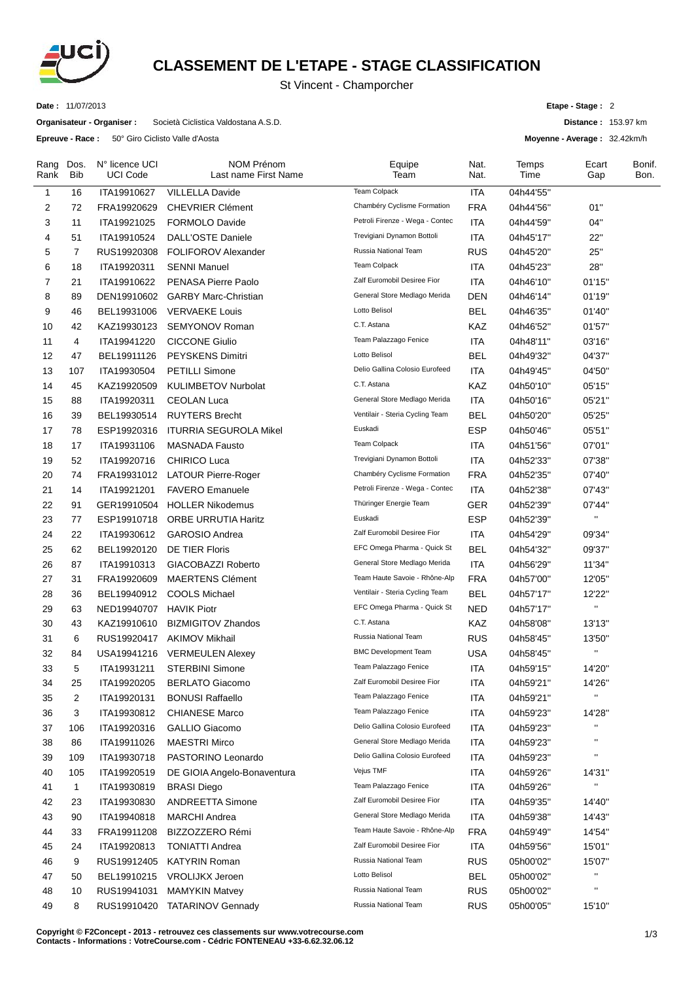

## **CLASSEMENT DE L'ETAPE - STAGE CLASSIFICATION**

St Vincent - Champorcher

**Date :** 11/07/2013

**Organisateur - Organiser :** Società Ciclistica Valdostana A.S.D.

**Epreuve - Race :** 50° Giro Ciclisto Valle d'Aosta

**Etape - Stage :** 2

**Distance :** 153.97 km

**Moyenne - Average :** 32.42km/h

| Rang<br>Rank | Dos.<br>Bib  | N° licence UCI<br><b>UCI Code</b> | <b>NOM Prénom</b><br>Last name First Name | Equipe<br>Team                  | Nat.<br>Nat. | Temps<br>Time | Ecart<br>Gap       | Bonif.<br>Bon. |
|--------------|--------------|-----------------------------------|-------------------------------------------|---------------------------------|--------------|---------------|--------------------|----------------|
| $\mathbf{1}$ | 16           | ITA19910627                       | <b>VILLELLA Davide</b>                    | <b>Team Colpack</b>             | <b>ITA</b>   | 04h44'55"     |                    |                |
| 2            | 72           | FRA19920629                       | <b>CHEVRIER Clément</b>                   | Chambéry Cyclisme Formation     | <b>FRA</b>   | 04h44'56"     | 01"                |                |
| 3            | 11           | ITA19921025                       | <b>FORMOLO Davide</b>                     | Petroli Firenze - Wega - Contec | ITA          | 04h44'59"     | 04"                |                |
| 4            | 51           | ITA19910524                       | <b>DALL'OSTE Daniele</b>                  | Trevigiani Dynamon Bottoli      | ITA          | 04h45'17"     | 22"                |                |
| 5            | 7            | RUS19920308                       | <b>FOLIFOROV Alexander</b>                | Russia National Team            | <b>RUS</b>   | 04h45'20"     | 25"                |                |
| 6            | 18           | ITA19920311                       | <b>SENNI Manuel</b>                       | <b>Team Colpack</b>             | <b>ITA</b>   | 04h45'23"     | 28"                |                |
| 7            | 21           | ITA19910622                       | PENASA Pierre Paolo                       | Zalf Euromobil Desiree Fior     | <b>ITA</b>   | 04h46'10"     | 01'15"             |                |
| 8            | 89           | DEN19910602                       | <b>GARBY Marc-Christian</b>               | General Store Medlago Merida    | <b>DEN</b>   | 04h46'14"     | 01'19"             |                |
| 9            | 46           | BEL19931006                       | <b>VERVAEKE Louis</b>                     | Lotto Belisol                   | <b>BEL</b>   | 04h46'35"     | 01'40"             |                |
| 10           | 42           | KAZ19930123                       | SEMYONOV Roman                            | C.T. Astana                     | KAZ          | 04h46'52"     | 01'57"             |                |
| 11           | 4            | ITA19941220                       | <b>CICCONE Giulio</b>                     | Team Palazzago Fenice           | <b>ITA</b>   | 04h48'11"     | 03'16"             |                |
| 12           | 47           | BEL19911126                       | <b>PEYSKENS Dimitri</b>                   | Lotto Belisol                   | <b>BEL</b>   | 04h49'32"     | 04'37"             |                |
| 13           | 107          | ITA19930504                       | <b>PETILLI Simone</b>                     | Delio Gallina Colosio Eurofeed  | ITA          | 04h49'45"     | 04'50"             |                |
| 14           | 45           | KAZ19920509                       | <b>KULIMBETOV Nurbolat</b>                | C.T. Astana                     | KAZ          | 04h50'10"     | 05'15"             |                |
| 15           | 88           | ITA19920311                       | <b>CEOLAN Luca</b>                        | General Store Medlago Merida    | <b>ITA</b>   | 04h50'16"     | 05'21"             |                |
| 16           | 39           | BEL19930514                       | <b>RUYTERS Brecht</b>                     | Ventilair - Steria Cycling Team | <b>BEL</b>   | 04h50'20"     | 05'25"             |                |
| 17           | 78           | ESP19920316                       | <b>ITURRIA SEGUROLA Mikel</b>             | Euskadi                         | ESP          | 04h50'46"     | 05'51"             |                |
| 18           | 17           | ITA19931106                       | <b>MASNADA Fausto</b>                     | Team Colpack                    | <b>ITA</b>   | 04h51'56"     | 07'01"             |                |
| 19           | 52           | ITA19920716                       | <b>CHIRICO Luca</b>                       | Trevigiani Dynamon Bottoli      | ITA          | 04h52'33"     | 07'38"             |                |
| 20           | 74           | FRA19931012                       | <b>LATOUR Pierre-Roger</b>                | Chambéry Cyclisme Formation     | <b>FRA</b>   | 04h52'35"     | 07'40"             |                |
| 21           | 14           | ITA19921201                       | <b>FAVERO Emanuele</b>                    | Petroli Firenze - Wega - Contec | ITA          | 04h52'38"     | 07'43"             |                |
| 22           | 91           |                                   | GER19910504 HOLLER Nikodemus              | Thüringer Energie Team          | <b>GER</b>   | 04h52'39"     | 07'44"             |                |
| 23           | 77           | ESP19910718                       | <b>ORBE URRUTIA Haritz</b>                | Euskadi                         | <b>ESP</b>   | 04h52'39"     | $\mathbf{u}$       |                |
| 24           | 22           | ITA19930612                       | GAROSIO Andrea                            | Zalf Euromobil Desiree Fior     | <b>ITA</b>   | 04h54'29"     | 09'34"             |                |
| 25           | 62           | BEL19920120                       | <b>DE TIER Floris</b>                     | EFC Omega Pharma - Quick St     | <b>BEL</b>   | 04h54'32"     | 09'37"             |                |
| 26           | 87           | ITA19910313                       | GIACOBAZZI Roberto                        | General Store Medlago Merida    | ITA          | 04h56'29"     | 11'34"             |                |
| 27           | 31           | FRA19920609                       | <b>MAERTENS Clément</b>                   | Team Haute Savoie - Rhône-Alp   | <b>FRA</b>   | 04h57'00"     | 12'05"             |                |
| 28           | 36           | BEL19940912                       | <b>COOLS Michael</b>                      | Ventilair - Steria Cycling Team | <b>BEL</b>   | 04h57'17"     | 12'22"             |                |
| 29           | 63           | NED19940707                       | <b>HAVIK Piotr</b>                        | EFC Omega Pharma - Quick St     | <b>NED</b>   | 04h57'17"     | $\mathbf{u}$       |                |
| 30           | 43           | KAZ19910610                       | <b>BIZMIGITOV Zhandos</b>                 | C.T. Astana                     | KAZ          | 04h58'08"     | 13'13"             |                |
| 31           | 6            | RUS19920417                       | <b>AKIMOV Mikhail</b>                     | Russia National Team            | <b>RUS</b>   | 04h58'45"     | 13'50"             |                |
| 32           | 84           | USA19941216                       | <b>VERMEULEN Alexey</b>                   | <b>BMC Development Team</b>     | <b>USA</b>   | 04h58'45"     | $\mathbf{u}$       |                |
| 33           | 5            | ITA19931211                       | <b>STERBINI Simone</b>                    | Team Palazzago Fenice           | ITA          | 04h59'15"     | 14'20"             |                |
| 34           | 25           | ITA19920205                       | <b>BERLATO Giacomo</b>                    | Zalf Euromobil Desiree Fior     | <b>ITA</b>   | 04h59'21"     | 14'26"             |                |
| 35           | 2            | ITA19920131                       | <b>BONUSI Raffaello</b>                   | Team Palazzago Fenice           | <b>ITA</b>   | 04h59'21"     | $\pmb{\mathsf{H}}$ |                |
| 36           | 3            | ITA19930812                       | <b>CHIANESE Marco</b>                     | Team Palazzago Fenice           | <b>ITA</b>   | 04h59'23"     | 14'28"             |                |
| 37           | 106          | ITA19920316                       | GALLIO Giacomo                            | Delio Gallina Colosio Eurofeed  | ITA          | 04h59'23"     | $\pmb{\mathsf{u}}$ |                |
| 38           | 86           | ITA19911026                       | <b>MAESTRI Mirco</b>                      | General Store Medlago Merida    | <b>ITA</b>   | 04h59'23"     | $\pmb{\mathsf{H}}$ |                |
| 39           | 109          | ITA19930718                       | PASTORINO Leonardo                        | Delio Gallina Colosio Eurofeed  | <b>ITA</b>   | 04h59'23"     | $\pmb{\mathsf{u}}$ |                |
| 40           | 105          | ITA19920519                       | DE GIOIA Angelo-Bonaventura               | Vejus TMF                       | <b>ITA</b>   | 04h59'26"     | 14'31"             |                |
| 41           | $\mathbf{1}$ | ITA19930819                       | <b>BRASI Diego</b>                        | Team Palazzago Fenice           | <b>ITA</b>   | 04h59'26"     | $\mathbf{u}$       |                |
| 42           | 23           | ITA19930830                       | <b>ANDREETTA Simone</b>                   | Zalf Euromobil Desiree Fior     | <b>ITA</b>   | 04h59'35"     | 14'40"             |                |
| 43           | 90           | ITA19940818                       | <b>MARCHI</b> Andrea                      | General Store Medlago Merida    | <b>ITA</b>   | 04h59'38"     | 14'43"             |                |
| 44           | 33           | FRA19911208                       | BIZZOZZERO Rémi                           | Team Haute Savoie - Rhône-Alp   | <b>FRA</b>   | 04h59'49"     | 14'54"             |                |
| 45           | 24           | ITA19920813                       | <b>TONIATTI Andrea</b>                    | Zalf Euromobil Desiree Fior     | <b>ITA</b>   | 04h59'56"     | 15'01"             |                |
| 46           | 9            | RUS19912405                       | <b>KATYRIN Roman</b>                      | Russia National Team            | <b>RUS</b>   | 05h00'02"     | 15'07"             |                |
| 47           | 50           | BEL19910215                       | <b>VROLIJKX Jeroen</b>                    | Lotto Belisol                   | <b>BEL</b>   | 05h00'02"     | $\pmb{\mathsf{H}}$ |                |
| 48           | 10           | RUS19941031                       | <b>MAMYKIN Matvey</b>                     | Russia National Team            | <b>RUS</b>   | 05h00'02"     | $\pmb{\cdot}$      |                |
| 49           | 8            | RUS19910420                       | <b>TATARINOV Gennady</b>                  | Russia National Team            | <b>RUS</b>   | 05h00'05"     | 15'10"             |                |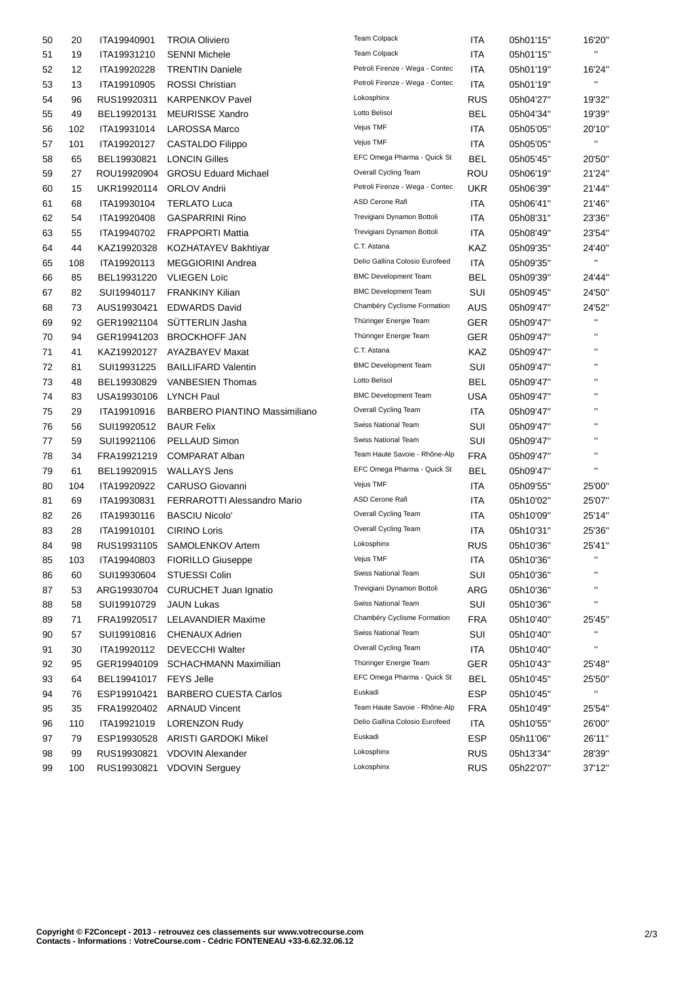| 50 | 20  | ITA19940901 | <b>TROIA Oliviero</b>                | <b>Team Colpack</b>             | <b>ITA</b> | 05h01'15" | 16'20"             |
|----|-----|-------------|--------------------------------------|---------------------------------|------------|-----------|--------------------|
| 51 | 19  | ITA19931210 | <b>SENNI Michele</b>                 | <b>Team Colpack</b>             | ITA        | 05h01'15" | $\mathbf{H}$       |
| 52 | 12  | ITA19920228 | <b>TRENTIN Daniele</b>               | Petroli Firenze - Wega - Contec | <b>ITA</b> | 05h01'19" | 16'24"             |
| 53 | 13  | ITA19910905 | <b>ROSSI Christian</b>               | Petroli Firenze - Wega - Contec | ITA        | 05h01'19" | $\mathbf{H}$       |
| 54 | 96  | RUS19920311 | <b>KARPENKOV Pavel</b>               | Lokosphinx                      | <b>RUS</b> | 05h04'27" | 19'32"             |
| 55 | 49  | BEL19920131 | <b>MEURISSE Xandro</b>               | Lotto Belisol                   | <b>BEL</b> | 05h04'34" | 19'39"             |
| 56 | 102 | ITA19931014 | <b>LAROSSA Marco</b>                 | Vejus TMF                       | ITA        | 05h05'05" | 20'10"             |
| 57 | 101 | ITA19920127 | <b>CASTALDO Filippo</b>              | Vejus TMF                       | ITA        | 05h05'05" | $\mathbf{H}$       |
| 58 | 65  | BEL19930821 | <b>LONCIN Gilles</b>                 | EFC Omega Pharma - Quick St     | <b>BEL</b> | 05h05'45" | 20'50"             |
| 59 | 27  | ROU19920904 | <b>GROSU Eduard Michael</b>          | Overall Cycling Team            | <b>ROU</b> | 05h06'19" | 21'24"             |
| 60 | 15  | UKR19920114 | <b>ORLOV Andrii</b>                  | Petroli Firenze - Wega - Contec | UKR        | 05h06'39" | 21'44"             |
| 61 | 68  | ITA19930104 | <b>TERLATO Luca</b>                  | <b>ASD Cerone Rafi</b>          | ITA        | 05h06'41" | 21'46"             |
| 62 | 54  | ITA19920408 | <b>GASPARRINI Rino</b>               | Trevigiani Dynamon Bottoli      | <b>ITA</b> | 05h08'31" | 23'36"             |
| 63 | 55  | ITA19940702 | <b>FRAPPORTI Mattia</b>              | Trevigiani Dynamon Bottoli      | <b>ITA</b> | 05h08'49" | 23'54"             |
| 64 | 44  | KAZ19920328 | KOZHATAYEV Bakhtiyar                 | C.T. Astana                     | KAZ        | 05h09'35" | 24'40"             |
| 65 | 108 | ITA19920113 | <b>MEGGIORINI Andrea</b>             | Delio Gallina Colosio Eurofeed  | <b>ITA</b> | 05h09'35" | $\pmb{\mathsf{H}}$ |
| 66 | 85  | BEL19931220 | <b>VLIEGEN Loïc</b>                  | <b>BMC Development Team</b>     | <b>BEL</b> | 05h09'39" | 24'44"             |
| 67 | 82  | SUI19940117 | <b>FRANKINY Kilian</b>               | <b>BMC Development Team</b>     | SUI        | 05h09'45" | 24'50"             |
| 68 | 73  | AUS19930421 | <b>EDWARDS David</b>                 | Chambéry Cyclisme Formation     | <b>AUS</b> | 05h09'47" | 24'52"             |
| 69 | 92  | GER19921104 | SÜTTERLIN Jasha                      | Thüringer Energie Team          | <b>GER</b> | 05h09'47" | $\mathbf{H}$       |
| 70 | 94  | GER19941203 | <b>BROCKHOFF JAN</b>                 | Thüringer Energie Team          | GER        | 05h09'47" | $\pmb{\mathsf{H}}$ |
| 71 | 41  | KAZ19920127 | AYAZBAYEV Maxat                      | C.T. Astana                     | KAZ        | 05h09'47" | $\mathbf{H}$       |
| 72 | 81  | SUI19931225 | <b>BAILLIFARD Valentin</b>           | <b>BMC Development Team</b>     | SUI        | 05h09'47" | $\mathbf{H}$       |
| 73 | 48  | BEL19930829 | <b>VANBESIEN Thomas</b>              | Lotto Belisol                   | <b>BEL</b> | 05h09'47" | $\pmb{\mathsf{H}}$ |
| 74 | 83  | USA19930106 | <b>LYNCH Paul</b>                    | <b>BMC Development Team</b>     | USA        | 05h09'47" | $\pmb{\mathsf{H}}$ |
| 75 | 29  | ITA19910916 | <b>BARBERO PIANTINO Massimiliano</b> | Overall Cycling Team            | <b>ITA</b> | 05h09'47" | $\mathbf{H}$       |
| 76 | 56  | SUI19920512 | <b>BAUR Felix</b>                    | Swiss National Team             | SUI        | 05h09'47" | $\pmb{\mathsf{H}}$ |
| 77 | 59  | SUI19921106 | PELLAUD Simon                        | Swiss National Team             | SUI        | 05h09'47" | $\mathbf{H}$       |
| 78 | 34  | FRA19921219 | <b>COMPARAT Alban</b>                | Team Haute Savoie - Rhône-Alp   | <b>FRA</b> | 05h09'47" | $\pmb{\mathsf{H}}$ |
| 79 | 61  | BEL19920915 | <b>WALLAYS Jens</b>                  | EFC Omega Pharma - Quick St     | <b>BEL</b> | 05h09'47" | $\mathbf{H}$       |
| 80 | 104 | ITA19920922 | <b>CARUSO Giovanni</b>               | Vejus TMF                       | ITA        | 05h09'55" | 25'00"             |
| 81 | 69  | ITA19930831 | <b>FERRAROTTI Alessandro Mario</b>   | ASD Cerone Rafi                 | ITA        | 05h10'02" | 25'07"             |
| 82 | 26  | ITA19930116 | <b>BASCIU Nicolo'</b>                | Overall Cycling Team            | ITA        | 05h10'09" | 25'14"             |
| 83 | 28  | ITA19910101 | <b>CIRINO Loris</b>                  | <b>Overall Cycling Team</b>     | <b>ITA</b> | 05h10'31" | 25'36"             |
| 84 | 98  | RUS19931105 | SAMOLENKOV Artem                     | Lokosphinx                      | <b>RUS</b> | 05h10'36" | 25'41"             |
| 85 | 103 | ITA19940803 | <b>FIORILLO Giuseppe</b>             | Vejus TMF                       | <b>ITA</b> | 05h10'36" |                    |
| 86 | 60  | SUI19930604 | STUESSI Colin                        | Swiss National Team             | SUI        | 05h10'36" | $\pmb{\mathsf{H}}$ |
| 87 | 53  | ARG19930704 | <b>CURUCHET Juan Ignatio</b>         | Trevigiani Dynamon Bottoli      | ARG        | 05h10'36" |                    |
| 88 | 58  | SUI19910729 | <b>JAUN Lukas</b>                    | Swiss National Team             | SUI        | 05h10'36" | $\blacksquare$     |
| 89 | 71  | FRA19920517 | <b>LELAVANDIER Maxime</b>            | Chambéry Cyclisme Formation     | <b>FRA</b> | 05h10'40" | 25'45"             |
| 90 | 57  | SUI19910816 | <b>CHENAUX Adrien</b>                | Swiss National Team             | SUI        | 05h10'40" | .,                 |
| 91 | 30  | ITA19920112 | <b>DEVECCHI Walter</b>               | Overall Cycling Team            | <b>ITA</b> | 05h10'40" | $\blacksquare$     |
| 92 | 95  | GER19940109 | SCHACHMANN Maximilian                | Thüringer Energie Team          | <b>GER</b> | 05h10'43" | 25'48"             |
| 93 | 64  | BEL19941017 | <b>FEYS Jelle</b>                    | EFC Omega Pharma - Quick St     | <b>BEL</b> | 05h10'45" | 25'50"             |
| 94 | 76  | ESP19910421 | <b>BARBERO CUESTA Carlos</b>         | Euskadi                         | <b>ESP</b> | 05h10'45" | $\mathbf{H}$       |
| 95 | 35  | FRA19920402 | <b>ARNAUD Vincent</b>                | Team Haute Savoie - Rhône-Alp   | <b>FRA</b> | 05h10'49" | 25'54"             |
| 96 | 110 | ITA19921019 | LORENZON Rudy                        | Delio Gallina Colosio Eurofeed  | ITA        | 05h10'55" | 26'00"             |
| 97 | 79  | ESP19930528 | <b>ARISTI GARDOKI Mikel</b>          | Euskadi                         | <b>ESP</b> | 05h11'06" | 26'11"             |
| 98 | 99  | RUS19930821 | <b>VDOVIN Alexander</b>              | Lokosphinx                      | <b>RUS</b> | 05h13'34" | 28'39"             |
| 99 | 100 | RUS19930821 | <b>VDOVIN Serguey</b>                | Lokosphinx                      | <b>RUS</b> | 05h22'07" | 37'12"             |
|    |     |             |                                      |                                 |            |           |                    |